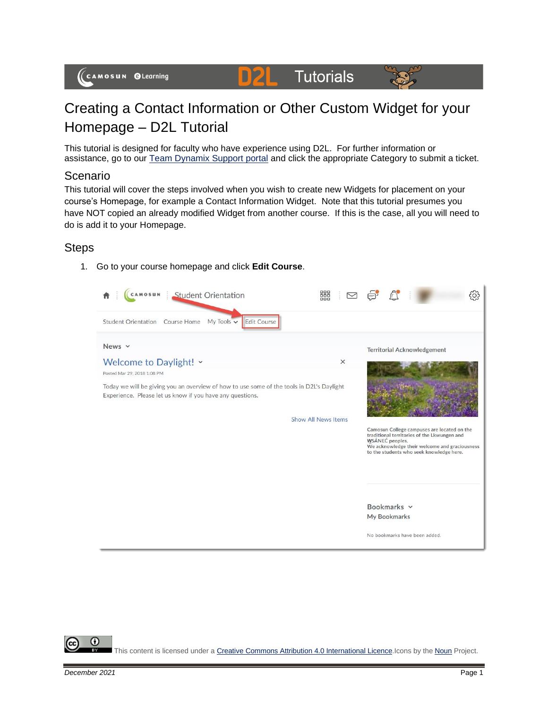#### **D2L Tutorials**



# Creating a Contact Information or Other Custom Widget for your Homepage – D2L Tutorial

This tutorial is designed for faculty who have experience using D2L. For further information or assistance, go to our [Team Dynamix Support portal](https://camosun.teamdynamix.com/TDClient/67/Portal/Requests/ServiceCatalog?CategoryID=523) and click the appropriate Category to submit a ticket.

### Scenario

This tutorial will cover the steps involved when you wish to create new Widgets for placement on your course's Homepage, for example a Contact Information Widget. Note that this tutorial presumes you have NOT copied an already modified Widget from another course. If this is the case, all you will need to do is add it to your Homepage.

# **Steps**

1. Go to your course homepage and click **Edit Course**.



This content is licensed under [a Creative Commons Attribution 4.0 International Licence.I](https://creativecommons.org/licenses/by/4.0/)cons by the [Noun](https://creativecommons.org/website-icons/) Project.

⋒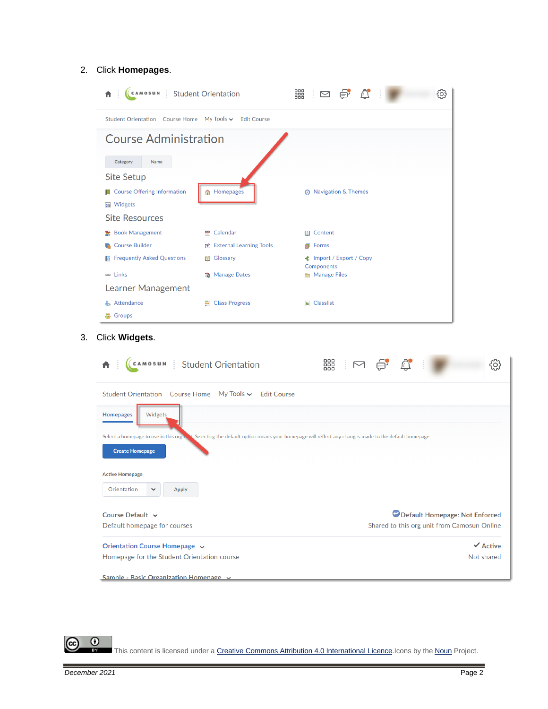#### 2. Click **Homepages**.

| Category<br>Name                                |                         |                                                            |  |
|-------------------------------------------------|-------------------------|------------------------------------------------------------|--|
| <b>Site Setup</b>                               |                         |                                                            |  |
| Course Offering Information<br><b>■</b> Widgets | <b>俞 Homepages</b>      | <b>8</b> Navigation & Themes                               |  |
| <b>Site Resources</b>                           |                         |                                                            |  |
| <b>Book Management</b>                          | <b>Calendar</b>         | <b>III</b> Content                                         |  |
| Course Builder                                  | External Learning Tools | <b>副</b> Forms                                             |  |
| <b>E</b> Frequently Asked Questions             | <b>III</b> Glossary     | <b><math>±</math></b> Import / Export / Copy<br>Components |  |
| <b>BB</b> Links                                 | <b>B</b> Manage Dates   | <b>Manage Files</b>                                        |  |
| Learner Management                              |                         |                                                            |  |
| <b>Attendance</b>                               | <b>E</b> Class Progress | $E$ Classlist                                              |  |
| <b>S</b> Groups                                 |                         |                                                            |  |

| <b>Homepages</b><br>Select a homepage to use in this org b.<br>Selecting the default option means your homepage will reflect any changes made to the default homepage.<br><b>Create Homepage</b><br><b>Active Homepage</b><br>Orientation<br>$\checkmark$<br><b>Apply</b><br>Course Default $\sim$<br>Default homepage for courses<br>Orientation Course Homepage v |         |                                             |
|---------------------------------------------------------------------------------------------------------------------------------------------------------------------------------------------------------------------------------------------------------------------------------------------------------------------------------------------------------------------|---------|---------------------------------------------|
|                                                                                                                                                                                                                                                                                                                                                                     |         | $\checkmark$ Active                         |
|                                                                                                                                                                                                                                                                                                                                                                     |         | Shared to this org unit from Camosun Online |
|                                                                                                                                                                                                                                                                                                                                                                     |         | Default Homepage: Not Enforced              |
|                                                                                                                                                                                                                                                                                                                                                                     |         |                                             |
|                                                                                                                                                                                                                                                                                                                                                                     |         |                                             |
|                                                                                                                                                                                                                                                                                                                                                                     |         |                                             |
|                                                                                                                                                                                                                                                                                                                                                                     |         |                                             |
|                                                                                                                                                                                                                                                                                                                                                                     | Widgets |                                             |

This content is licensed under [a Creative Commons Attribution 4.0 International Licence.I](https://creativecommons.org/licenses/by/4.0/)cons by the [Noun](https://creativecommons.org/website-icons/) Project.

 $\frac{\odot}{\odot}$ 

ල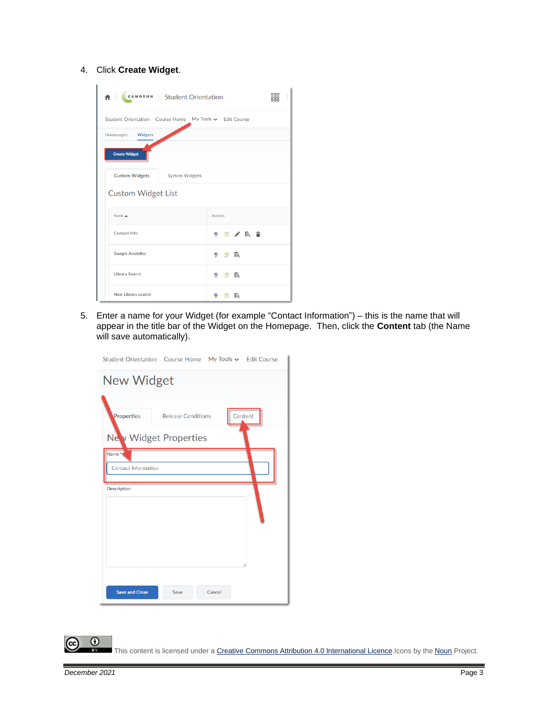4. Click **Create Widget**.

| CCAMOSUN Student Orientation<br>青土                     | 器                      | ŧ |
|--------------------------------------------------------|------------------------|---|
| Student Orientation Course Home My Tools v Edit Course |                        |   |
| Homepages Widgets                                      |                        |   |
| <b>Create Widget</b>                                   |                        |   |
| <b>Custom Widgets</b><br><b>System Widgets</b>         |                        |   |
| <b>Custom Widget List</b>                              |                        |   |
| Name A                                                 | <b>Actions</b>         |   |
| <b>Contact Info</b>                                    | ⇒ 巾 ╱ 氏 言              |   |
| <b>Google Analytics</b>                                | $\n  B\n$              |   |
| <b>Library Search</b>                                  | $\n  b c$              |   |
| <b>New Library search</b>                              | Fq.<br><b>PERSONAL</b> |   |

5. Enter a name for your Widget (for example "Contact Information") – this is the name that will appear in the title bar of the Widget on the Homepage. Then, click the **Content** tab (the Name will save automatically).

| Student Orientation Course Home My Tools v Edit Course |                           |        |         |
|--------------------------------------------------------|---------------------------|--------|---------|
| New Widget                                             |                           |        |         |
|                                                        |                           |        |         |
| Properties                                             | <b>Release Conditions</b> |        | Content |
| New Widget Properties                                  |                           |        |         |
| Name <sup>*</sup>                                      |                           |        |         |
| <b>Contact Information</b>                             |                           |        |         |
| <b>Description</b>                                     |                           |        |         |
|                                                        |                           |        |         |
|                                                        |                           |        |         |
|                                                        |                           |        |         |
|                                                        |                           |        |         |
|                                                        |                           |        |         |
| <b>Save and Close</b>                                  | Save                      | Cancel |         |

This content is licensed under [a Creative Commons Attribution 4.0 International Licence.I](https://creativecommons.org/licenses/by/4.0/)cons by the [Noun](https://creativecommons.org/website-icons/) Project.

 $\overline{0}$ 

(cc